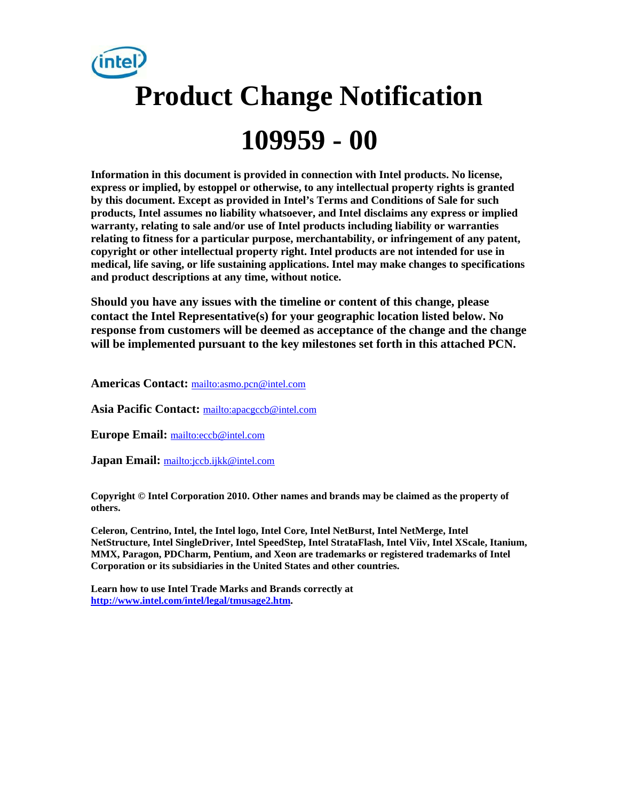

**Information in this document is provided in connection with Intel products. No license, express or implied, by estoppel or otherwise, to any intellectual property rights is granted by this document. Except as provided in Intel's Terms and Conditions of Sale for such products, Intel assumes no liability whatsoever, and Intel disclaims any express or implied warranty, relating to sale and/or use of Intel products including liability or warranties relating to fitness for a particular purpose, merchantability, or infringement of any patent, copyright or other intellectual property right. Intel products are not intended for use in medical, life saving, or life sustaining applications. Intel may make changes to specifications and product descriptions at any time, without notice.** 

**Should you have any issues with the timeline or content of this change, please contact the Intel Representative(s) for your geographic location listed below. No response from customers will be deemed as acceptance of the change and the change will be implemented pursuant to the key milestones set forth in this attached PCN.** 

**Americas Contact:** mailto:asmo.pcn@intel.com

**Asia Pacific Contact:** mailto:apacgccb@intel.com

**Europe Email:** mailto:eccb@intel.com

**Japan Email:** mailto:jccb.ijkk@intel.com

**Copyright © Intel Corporation 2010. Other names and brands may be claimed as the property of others.**

**Celeron, Centrino, Intel, the Intel logo, Intel Core, Intel NetBurst, Intel NetMerge, Intel NetStructure, Intel SingleDriver, Intel SpeedStep, Intel StrataFlash, Intel Viiv, Intel XScale, Itanium, MMX, Paragon, PDCharm, Pentium, and Xeon are trademarks or registered trademarks of Intel Corporation or its subsidiaries in the United States and other countries.** 

**Learn how to use Intel Trade Marks and Brands correctly at http://www.intel.com/intel/legal/tmusage2.htm.**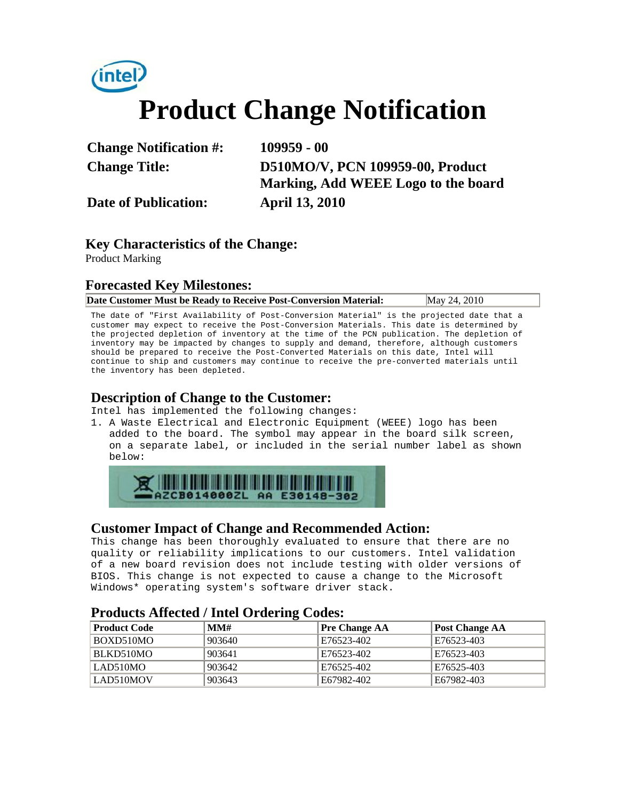

| <b>Change Notification #:</b> | $109959 - 00$                       |
|-------------------------------|-------------------------------------|
| <b>Change Title:</b>          | D510MO/V, PCN 109959-00, Product    |
|                               | Marking, Add WEEE Logo to the board |
| <b>Date of Publication:</b>   | <b>April 13, 2010</b>               |

## **Key Characteristics of the Change:**

Product Marking

#### **Forecasted Key Milestones:**

|  | Date Customer Must be Ready to Receive Post-Conversion Material: | May 24, 2010 |
|--|------------------------------------------------------------------|--------------|
|--|------------------------------------------------------------------|--------------|

The date of "First Availability of Post-Conversion Material" is the projected date that a customer may expect to receive the Post-Conversion Materials. This date is determined by the projected depletion of inventory at the time of the PCN publication. The depletion of inventory may be impacted by changes to supply and demand, therefore, although customers should be prepared to receive the Post-Converted Materials on this date, Intel will continue to ship and customers may continue to receive the pre-converted materials until the inventory has been depleted.

#### **Description of Change to the Customer:**

Intel has implemented the following changes:

1. A Waste Electrical and Electronic Equipment (WEEE) logo has been added to the board. The symbol may appear in the board silk screen, on a separate label, or included in the serial number label as shown below:



### **Customer Impact of Change and Recommended Action:**

This change has been thoroughly evaluated to ensure that there are no quality or reliability implications to our customers. Intel validation of a new board revision does not include testing with older versions of BIOS. This change is not expected to cause a change to the Microsoft Windows\* operating system's software driver stack.

### **Products Affected / Intel Ordering Codes:**

| <b>Product Code</b> | MM#    | <b>Pre Change AA</b> | Post Change AA |
|---------------------|--------|----------------------|----------------|
| BOXD510MO           | 903640 | E76523-402           | E76523-403     |
| BLKD510MO           | 903641 | E76523-402           | E76523-403     |
| LAD510MO            | 903642 | E76525-402           | E76525-403     |
| LAD510MOV           | 903643 | E67982-402           | E67982-403     |